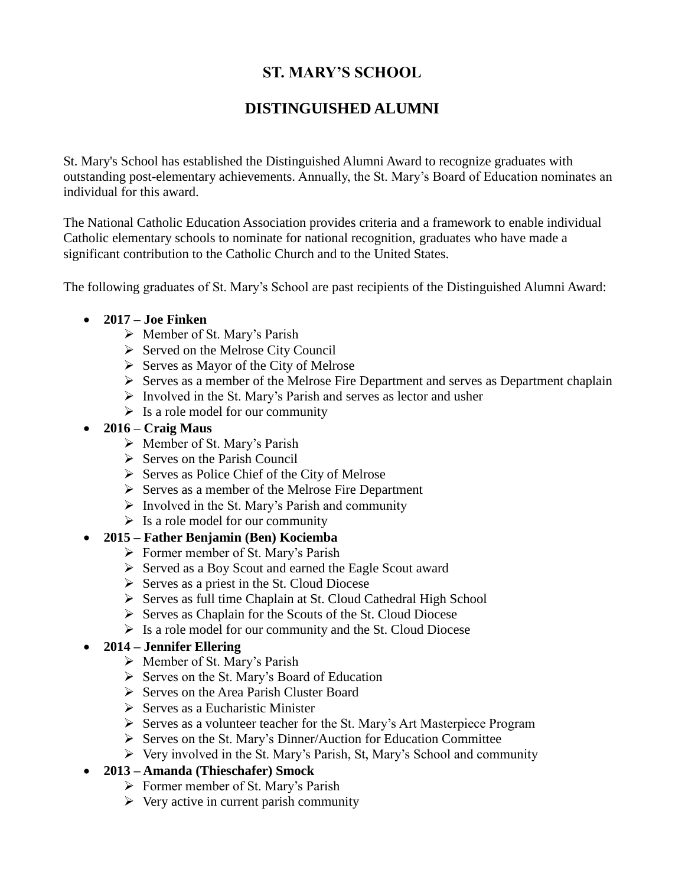# **ST. MARY'S SCHOOL**

# **DISTINGUISHED ALUMNI**

St. Mary's School has established the Distinguished Alumni Award to recognize graduates with outstanding post-elementary achievements. Annually, the St. Mary's Board of Education nominates an individual for this award.

The National Catholic Education Association provides criteria and a framework to enable individual Catholic elementary schools to nominate for national recognition, graduates who have made a significant contribution to the Catholic Church and to the United States.

The following graduates of St. Mary's School are past recipients of the Distinguished Alumni Award:

### **2017 – Joe Finken**

- Member of St. Mary's Parish
- $\triangleright$  Served on the Melrose City Council
- $\triangleright$  Serves as Mayor of the City of Melrose
- $\triangleright$  Serves as a member of the Melrose Fire Department and serves as Department chaplain
- $\triangleright$  Involved in the St. Mary's Parish and serves as lector and usher
- $\triangleright$  Is a role model for our community

#### **2016 – Craig Maus**

- Member of St. Mary's Parish
- $\triangleright$  Serves on the Parish Council
- $\triangleright$  Serves as Police Chief of the City of Melrose
- $\triangleright$  Serves as a member of the Melrose Fire Department
- $\triangleright$  Involved in the St. Mary's Parish and community
- $\triangleright$  Is a role model for our community

### **2015 – Father Benjamin (Ben) Kociemba**

- $\triangleright$  Former member of St. Mary's Parish
- Served as a Boy Scout and earned the Eagle Scout award
- $\triangleright$  Serves as a priest in the St. Cloud Diocese
- Serves as full time Chaplain at St. Cloud Cathedral High School
- $\triangleright$  Serves as Chaplain for the Scouts of the St. Cloud Diocese
- $\triangleright$  Is a role model for our community and the St. Cloud Diocese

### **2014 – Jennifer Ellering**

- Member of St. Mary's Parish
- $\triangleright$  Serves on the St. Mary's Board of Education
- $\triangleright$  Serves on the Area Parish Cluster Board
- $\triangleright$  Serves as a Eucharistic Minister
- Serves as a volunteer teacher for the St. Mary's Art Masterpiece Program
- $\triangleright$  Serves on the St. Mary's Dinner/Auction for Education Committee
- $\triangleright$  Very involved in the St. Mary's Parish, St, Mary's School and community

### **2013 – Amanda (Thieschafer) Smock**

- $\triangleright$  Former member of St. Mary's Parish
- $\triangleright$  Very active in current parish community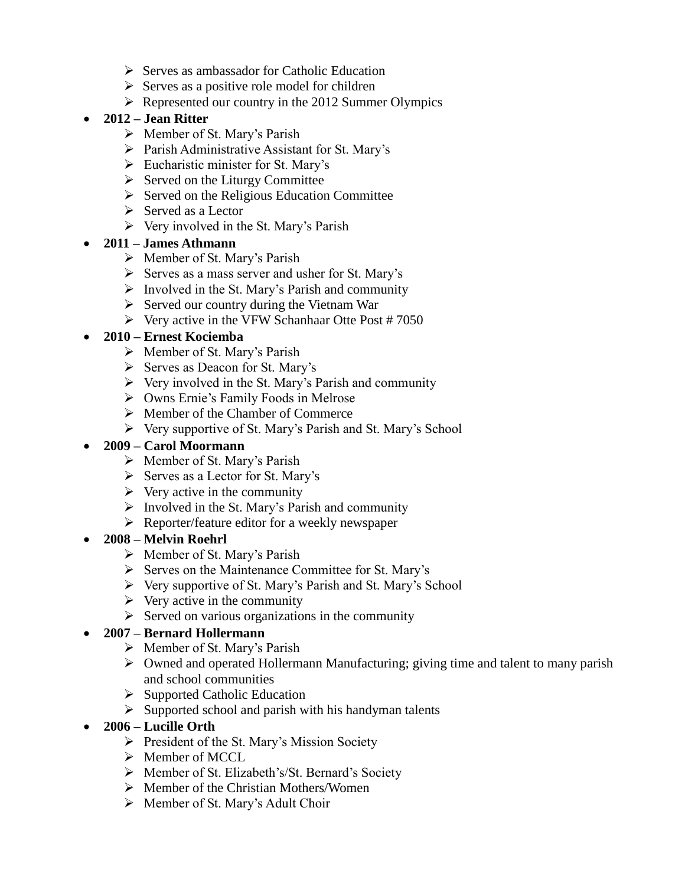- $\triangleright$  Serves as ambassador for Catholic Education
- $\triangleright$  Serves as a positive role model for children
- $\triangleright$  Represented our country in the 2012 Summer Olympics

### **2012 – Jean Ritter**

- $\triangleright$  Member of St. Mary's Parish
- $\triangleright$  Parish Administrative Assistant for St. Mary's
- $\triangleright$  Eucharistic minister for St. Mary's
- $\triangleright$  Served on the Liturgy Committee
- $\triangleright$  Served on the Religious Education Committee
- $\triangleright$  Served as a Lector
- $\triangleright$  Very involved in the St. Mary's Parish

### **2011 – James Athmann**

- $\triangleright$  Member of St. Mary's Parish
- $\triangleright$  Serves as a mass server and usher for St. Mary's
- $\triangleright$  Involved in the St. Mary's Parish and community
- $\triangleright$  Served our country during the Vietnam War
- $\triangleright$  Very active in the VFW Schanhaar Otte Post # 7050

### **2010 – Ernest Kociemba**

- $\triangleright$  Member of St. Mary's Parish
- $\triangleright$  Serves as Deacon for St. Mary's
- $\triangleright$  Very involved in the St. Mary's Parish and community
- Owns Ernie's Family Foods in Melrose
- $\triangleright$  Member of the Chamber of Commerce
- $\triangleright$  Very supportive of St. Mary's Parish and St. Mary's School

### **2009 – Carol Moormann**

- $\triangleright$  Member of St. Mary's Parish
- $\triangleright$  Serves as a Lector for St. Mary's
- $\triangleright$  Very active in the community
- $\triangleright$  Involved in the St. Mary's Parish and community
- $\triangleright$  Reporter/feature editor for a weekly newspaper

### **2008 – Melvin Roehrl**

- $\triangleright$  Member of St. Mary's Parish
- $\triangleright$  Serves on the Maintenance Committee for St. Mary's
- Very supportive of St. Mary's Parish and St. Mary's School
- $\triangleright$  Very active in the community
- $\triangleright$  Served on various organizations in the community

### **2007 – Bernard Hollermann**

- $\triangleright$  Member of St. Mary's Parish
- Owned and operated Hollermann Manufacturing; giving time and talent to many parish and school communities
- $\triangleright$  Supported Catholic Education
- $\triangleright$  Supported school and parish with his handyman talents

### **2006 – Lucille Orth**

- $\triangleright$  President of the St. Mary's Mission Society
- $\triangleright$  Member of MCCL
- Member of St. Elizabeth's/St. Bernard's Society
- $\triangleright$  Member of the Christian Mothers/Women
- $\triangleright$  Member of St. Mary's Adult Choir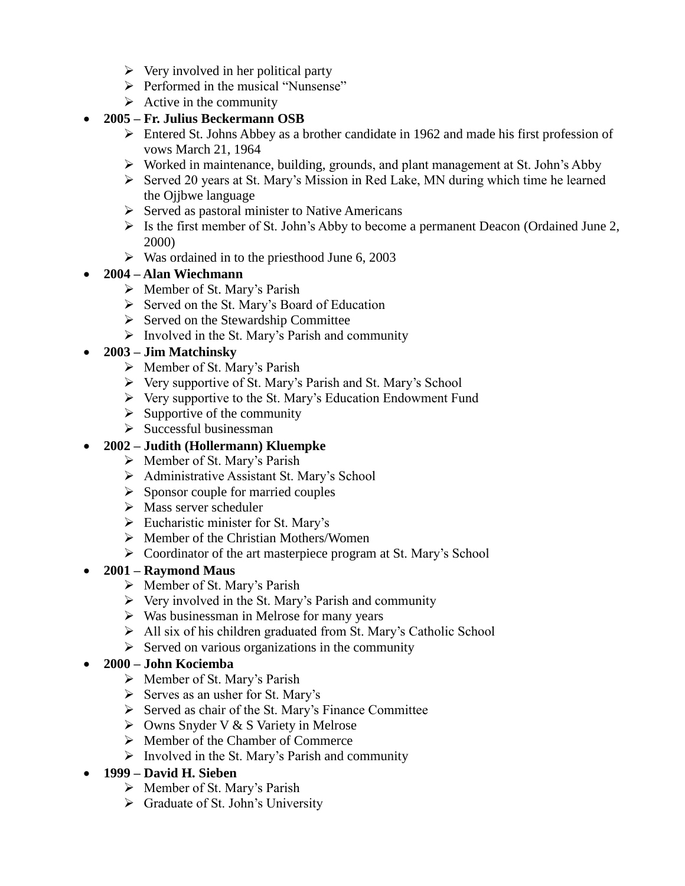- $\triangleright$  Very involved in her political party
- $\triangleright$  Performed in the musical "Nunsense"
- $\triangleright$  Active in the community

## **2005 – Fr. Julius Beckermann OSB**

- Entered St. Johns Abbey as a brother candidate in 1962 and made his first profession of vows March 21, 1964
- Worked in maintenance, building, grounds, and plant management at St. John's Abby
- $\triangleright$  Served 20 years at St. Mary's Mission in Red Lake, MN during which time he learned the Ojjbwe language
- $\triangleright$  Served as pastoral minister to Native Americans
- $\triangleright$  Is the first member of St. John's Abby to become a permanent Deacon (Ordained June 2, 2000)
- $\triangleright$  Was ordained in to the priesthood June 6, 2003

## **2004 – Alan Wiechmann**

- $\triangleright$  Member of St. Mary's Parish
- $\triangleright$  Served on the St. Mary's Board of Education
- $\triangleright$  Served on the Stewardship Committee
- $\triangleright$  Involved in the St. Mary's Parish and community

## **2003 – Jim Matchinsky**

- Member of St. Mary's Parish
- $\triangleright$  Very supportive of St. Mary's Parish and St. Mary's School
- $\triangleright$  Very supportive to the St. Mary's Education Endowment Fund
- $\triangleright$  Supportive of the community
- $\triangleright$  Successful businessman

## **2002 – Judith (Hollermann) Kluempke**

- $\triangleright$  Member of St. Mary's Parish
- Administrative Assistant St. Mary's School
- $\triangleright$  Sponsor couple for married couples
- $\triangleright$  Mass server scheduler
- $\triangleright$  Eucharistic minister for St. Mary's
- $\triangleright$  Member of the Christian Mothers/Women
- Coordinator of the art masterpiece program at St. Mary's School

## **2001 – Raymond Maus**

- $\triangleright$  Member of St. Mary's Parish
- $\triangleright$  Very involved in the St. Mary's Parish and community
- $\triangleright$  Was businessman in Melrose for many years
- All six of his children graduated from St. Mary's Catholic School
- $\triangleright$  Served on various organizations in the community

## **2000 – John Kociemba**

- Member of St. Mary's Parish
- $\triangleright$  Serves as an usher for St. Mary's
- $\triangleright$  Served as chair of the St. Mary's Finance Committee
- $\triangleright$  Owns Snyder V & S Variety in Melrose
- $\triangleright$  Member of the Chamber of Commerce
- $\triangleright$  Involved in the St. Mary's Parish and community

## **1999 – David H. Sieben**

- $\triangleright$  Member of St. Mary's Parish
- $\triangleright$  Graduate of St. John's University